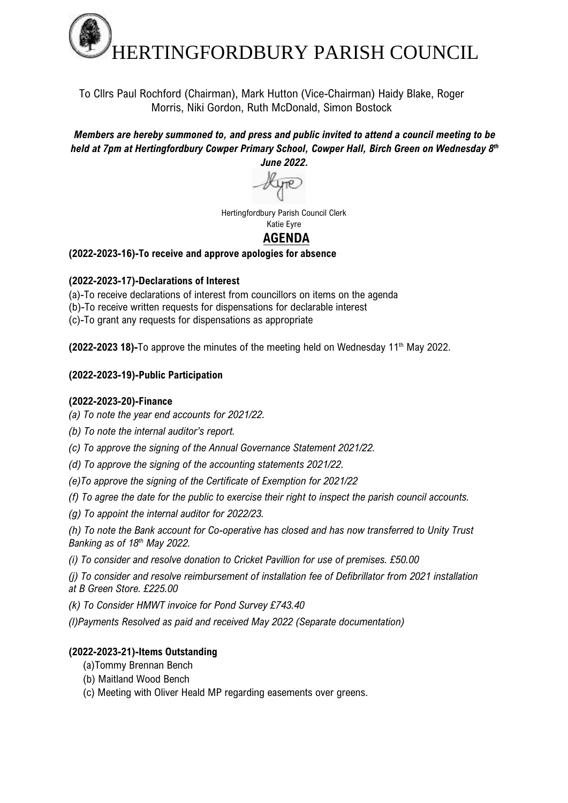

To Cllrs Paul Rochford (Chairman), Mark Hutton (Vice-Chairman) Haidy Blake, Roger Morris, Niki Gordon, Ruth McDonald, Simon Bostock

#### *Members are hereby summoned to, and press and public invited to attend a council meeting to be held at 7pm at Hertingfordbury Cowper Primary School, Cowper Hall, Birch Green on Wednesday 8 th June 2022.*



Hertingfordbury Parish Council Clerk Katie Eyre

# **AGENDA**

**(2022-2023-16)-To receive and approve apologies for absence**

# **(2022-2023-17)-Declarations of Interest**

- (a)-To receive declarations of interest from councillors on items on the agenda
- (b)-To receive written requests for dispensations for declarable interest
- (c)-To grant any requests for dispensations as appropriate

**(2022-2023 18)-**To approve the minutes of the meeting held on Wednesday 11<sup>th</sup> May 2022.

# **(2022-2023-19)-Public Participation**

### **(2022-2023-20)-Finance**

- *(a) To note the year end accounts for 2021/22.*
- *(b) To note the internal auditor's report.*
- *(c) To approve the signing of the Annual Governance Statement 2021/22.*
- *(d) To approve the signing of the accounting statements 2021/22.*
- *(e)To approve the signing of the Certificate of Exemption for 2021/22*
- *(f) To agree the date for the public to exercise their right to inspect the parish council accounts.*
- *(g) To appoint the internal auditor for 2022/23.*

*(h) To note the Bank account for Co-operative has closed and has now transferred to Unity Trust Banking as of 18th May 2022.*

*(i) To consider and resolve donation to Cricket Pavillion for use of premises. £50.00*

*(j) To consider and resolve reimbursement of installation fee of Defibrillator from 2021 installation at B Green Store. £225.00*

*(k) To Consider HMWT invoice for Pond Survey £743.40* 

*(l)Payments Resolved as paid and received May 2022 (Separate documentation)*

# **(2022-2023-21)-Items Outstanding**

- (a)Tommy Brennan Bench
- (b) Maitland Wood Bench
- (c) Meeting with Oliver Heald MP regarding easements over greens.